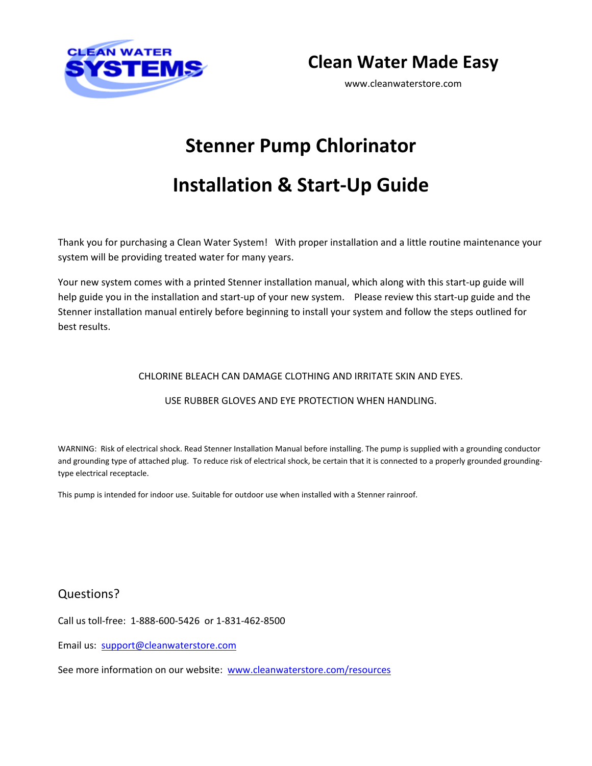

**Clean Water Made Easy**

www.cleanwaterstore.com

# **Stenner Pump Chlorinator**

# **Installation & Start‐Up Guide**

Thank you for purchasing a Clean Water System! With proper installation and a little routine maintenance your system will be providing treated water for many years.

Your new system comes with a printed Stenner installation manual, which along with this start‐up guide will help guide you in the installation and start-up of your new system. Please review this start-up guide and the Stenner installation manual entirely before beginning to install your system and follow the steps outlined for best results.

#### CHLORINE BLEACH CAN DAMAGE CLOTHING AND IRRITATE SKIN AND EYES.

#### USE RUBBER GLOVES AND EYE PROTECTION WHEN HANDLING.

WARNING: Risk of electrical shock. Read Stenner Installation Manual before installing. The pump is supplied with a grounding conductor and grounding type of attached plug. To reduce risk of electrical shock, be certain that it is connected to a properly grounded groundingtype electrical receptacle.

This pump is intended for indoor use. Suitable for outdoor use when installed with a Stenner rainroof.

#### Questions?

Call us toll‐free: 1‐888‐600‐5426 or 1‐831‐462‐8500

Email us: support@cleanwaterstore.com

See more information on our website: www.cleanwaterstore.com/resources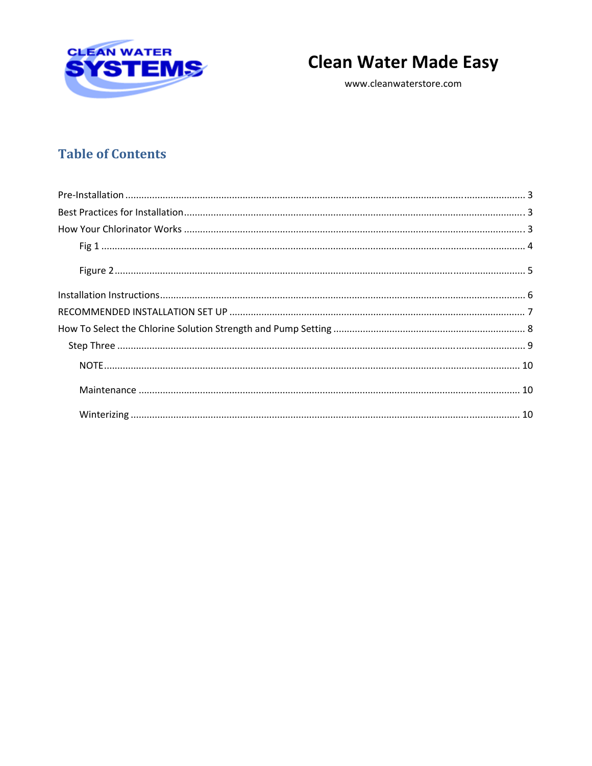

# **Clean Water Made Easy**

www.cleanwaterstore.com

## **Table of Contents**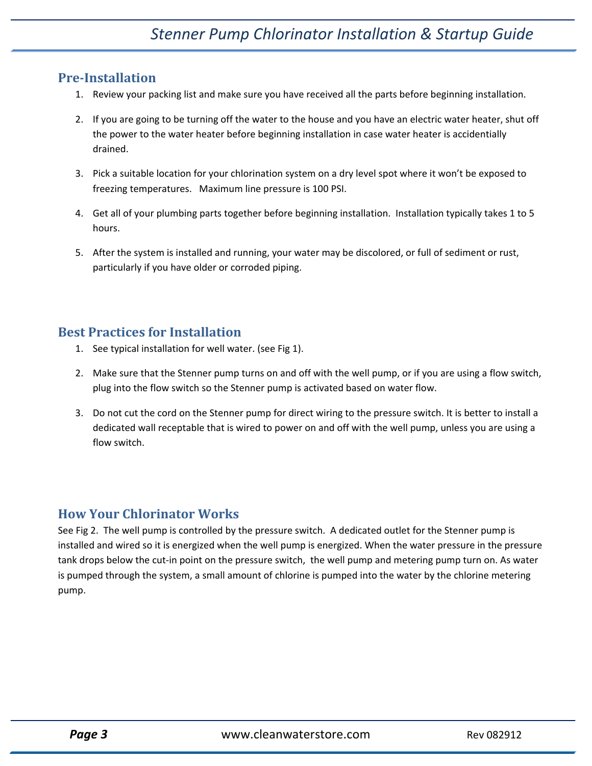### **PreInstallation**

- 1. Review your packing list and make sure you have received all the parts before beginning installation.
- 2. If you are going to be turning off the water to the house and you have an electric water heater, shut off the power to the water heater before beginning installation in case water heater is accidentially drained.
- 3. Pick a suitable location for your chlorination system on a dry level spot where it won't be exposed to freezing temperatures. Maximum line pressure is 100 PSI.
- 4. Get all of your plumbing parts together before beginning installation. Installation typically takes 1 to 5 hours.
- 5. After the system is installed and running, your water may be discolored, or full of sediment or rust, particularly if you have older or corroded piping.

### **Best Practices for Installation**

- 1. See typical installation for well water. (see Fig 1).
- 2. Make sure that the Stenner pump turns on and off with the well pump, or if you are using a flow switch, plug into the flow switch so the Stenner pump is activated based on water flow.
- 3. Do not cut the cord on the Stenner pump for direct wiring to the pressure switch. It is better to install a dedicated wall receptable that is wired to power on and off with the well pump, unless you are using a flow switch.

## **How Your Chlorinator Works**

See Fig 2. The well pump is controlled by the pressure switch. A dedicated outlet for the Stenner pump is installed and wired so it is energized when the well pump is energized. When the water pressure in the pressure tank drops below the cut-in point on the pressure switch, the well pump and metering pump turn on. As water is pumped through the system, a small amount of chlorine is pumped into the water by the chlorine metering pump.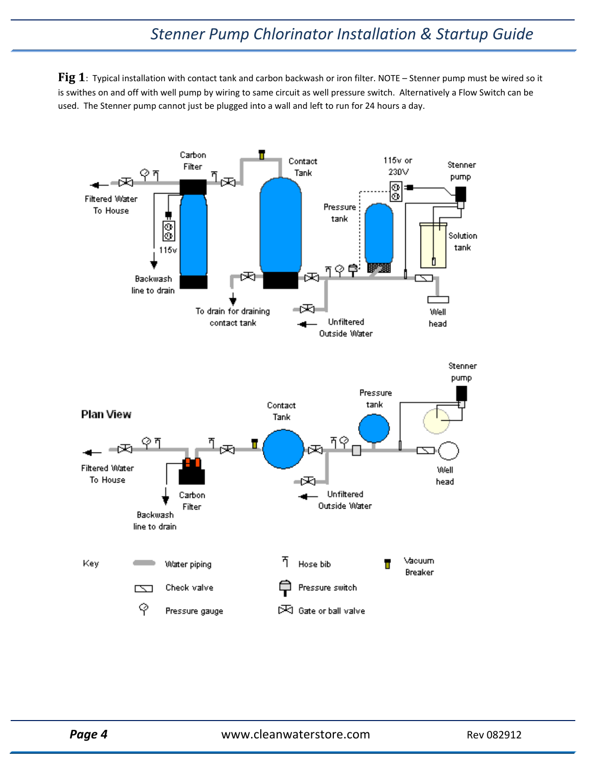## *Stenner Pump Chlorinator Installation & Startup Guide*

**Fig 1**: Typical installation with contact tank and carbon backwash or iron filter. NOTE – Stenner pump must be wired so it is swithes on and off with well pump by wiring to same circuit as well pressure switch. Alternatively a Flow Switch can be used. The Stenner pump cannot just be plugged into a wall and left to run for 24 hours a day.

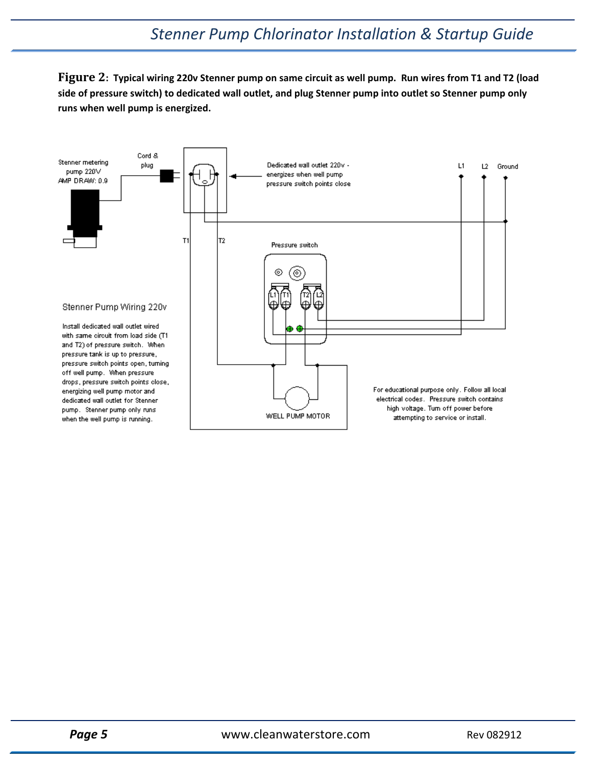Figure 2: Typical wiring 220v Stenner pump on same circuit as well pump. Run wires from T1 and T2 (load side of pressure switch) to dedicated wall outlet, and plug Stenner pump into outlet so Stenner pump only **runs when well pump is energized.**

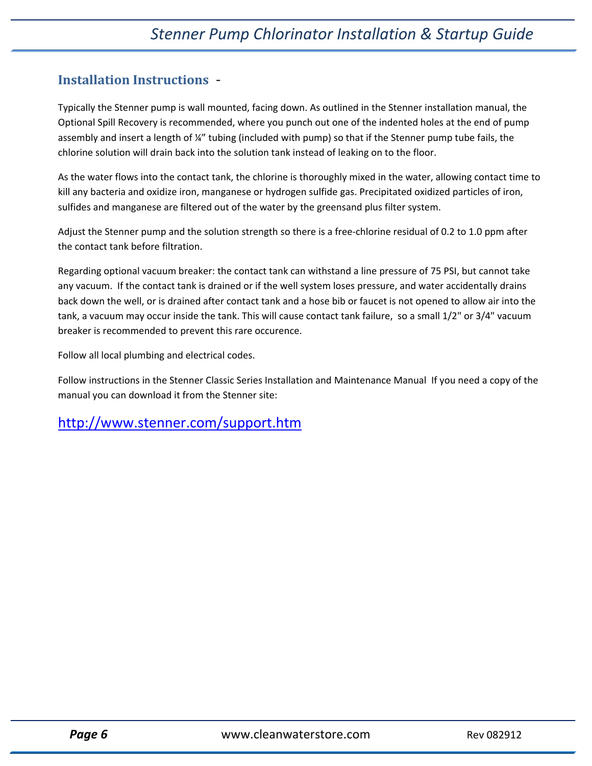### **Installation Instructions** ‐

Typically the Stenner pump is wall mounted, facing down. As outlined in the Stenner installation manual, the Optional Spill Recovery is recommended, where you punch out one of the indented holes at the end of pump assembly and insert a length of ¼" tubing (included with pump) so that if the Stenner pump tube fails, the chlorine solution will drain back into the solution tank instead of leaking on to the floor.

As the water flows into the contact tank, the chlorine is thoroughly mixed in the water, allowing contact time to kill any bacteria and oxidize iron, manganese or hydrogen sulfide gas. Precipitated oxidized particles of iron, sulfides and manganese are filtered out of the water by the greensand plus filter system.

Adjust the Stenner pump and the solution strength so there is a free‐chlorine residual of 0.2 to 1.0 ppm after the contact tank before filtration.

Regarding optional vacuum breaker: the contact tank can withstand a line pressure of 75 PSI, but cannot take any vacuum. If the contact tank is drained or if the well system loses pressure, and water accidentally drains back down the well, or is drained after contact tank and a hose bib or faucet is not opened to allow air into the tank, a vacuum may occur inside the tank. This will cause contact tank failure, so a small 1/2" or 3/4" vacuum breaker is recommended to prevent this rare occurence.

Follow all local plumbing and electrical codes.

Follow instructions in the Stenner Classic Series Installation and Maintenance Manual If you need a copy of the manual you can download it from the Stenner site:

## http://www.stenner.com/support.htm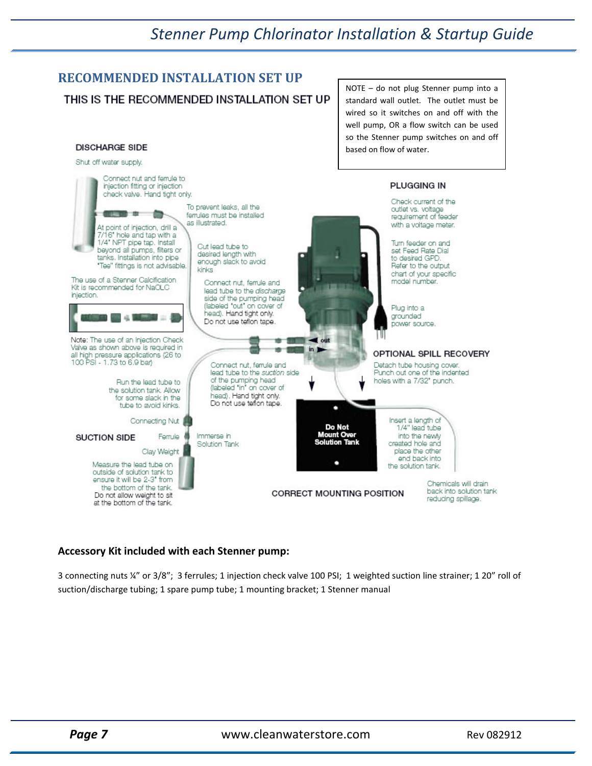## *Stenner Pump Chlorinator Installation & Startup Guide*

#### **RECOMMENDED INSTALLATION SET UP** NOTE – do not plug Stenner pump into a THIS IS THE RECOMMENDED INSTALLATION SET UP standard wall outlet. The outlet must be wired so it switches on and off with the well pump, OR a flow switch can be used so the Stenner pump switches on and off **DISCHARGE SIDE** based on flow of water.



#### **Accessory Kit included with each Stenner pump:**

3 connecting nuts ¼" or 3/8"; 3 ferrules; 1 injection check valve 100 PSI; 1 weighted suction line strainer; 1 20" roll of suction/discharge tubing; 1 spare pump tube; 1 mounting bracket; 1 Stenner manual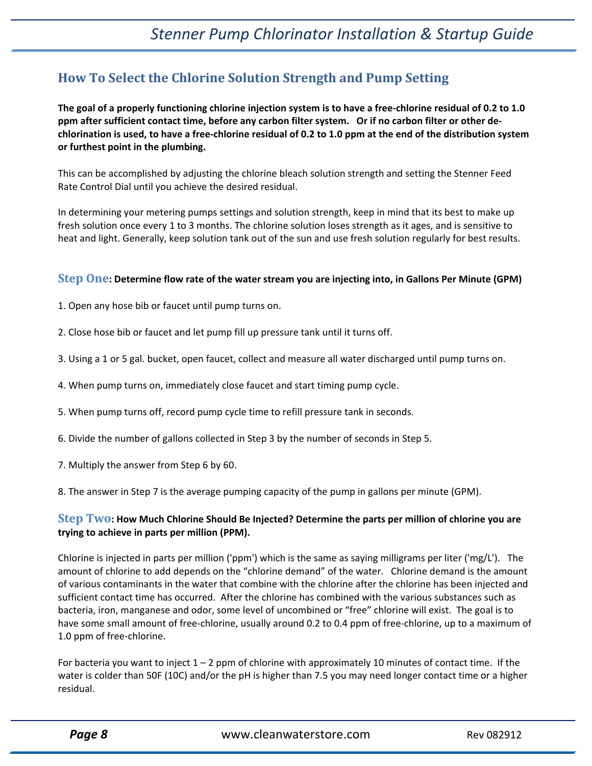## **How To Select the Chlorine Solution Strength and Pump Setting**

The goal of a properly functioning chlorine injection system is to have a free-chlorine residual of 0.2 to 1.0 ppm after sufficient contact time, before any carbon filter system. Or if no carbon filter or other dechlorination is used, to have a free-chlorine residual of 0.2 to 1.0 ppm at the end of the distribution system **or furthest point in the plumbing.**

This can be accomplished by adjusting the chlorine bleach solution strength and setting the Stenner Feed Rate Control Dial until you achieve the desired residual.

In determining your metering pumps settings and solution strength, keep in mind that its best to make up fresh solution once every 1 to 3 months. The chlorine solution loses strength as it ages, and is sensitive to heat and light. Generally, keep solution tank out of the sun and use fresh solution regularly for best results.

#### Step One: Determine flow rate of the water stream you are injecting into, in Gallons Per Minute (GPM)

- 1. Open any hose bib or faucet until pump turns on.
- 2. Close hose bib or faucet and let pump fill up pressure tank until it turns off.
- 3. Using a 1 or 5 gal. bucket, open faucet, collect and measure all water discharged until pump turns on.
- 4. When pump turns on, immediately close faucet and start timing pump cycle.
- 5. When pump turns off, record pump cycle time to refill pressure tank in seconds.
- 6. Divide the number of gallons collected in Step 3 by the number of seconds in Step 5.
- 7. Multiply the answer from Step 6 by 60.
- 8. The answer in Step 7 is the average pumping capacity of the pump in gallons per minute (GPM).

#### Step Two: How Much Chlorine Should Be Injected? Determine the parts per million of chlorine you are **trying to achieve in parts per million (PPM).**

Chlorine is injected in parts per million ('ppm') which is the same as saying milligrams per liter ('mg/L'). The amount of chlorine to add depends on the "chlorine demand" of the water. Chlorine demand is the amount of various contaminants in the water that combine with the chlorine after the chlorine has been injected and sufficient contact time has occurred. After the chlorine has combined with the various substances such as bacteria, iron, manganese and odor, some level of uncombined or "free" chlorine will exist. The goal is to have some small amount of free-chlorine, usually around 0.2 to 0.4 ppm of free-chlorine, up to a maximum of 1.0 ppm of free-chlorine.

For bacteria you want to inject  $1 - 2$  ppm of chlorine with approximately 10 minutes of contact time. If the water is colder than 50F (10C) and/or the pH is higher than 7.5 you may need longer contact time or a higher residual.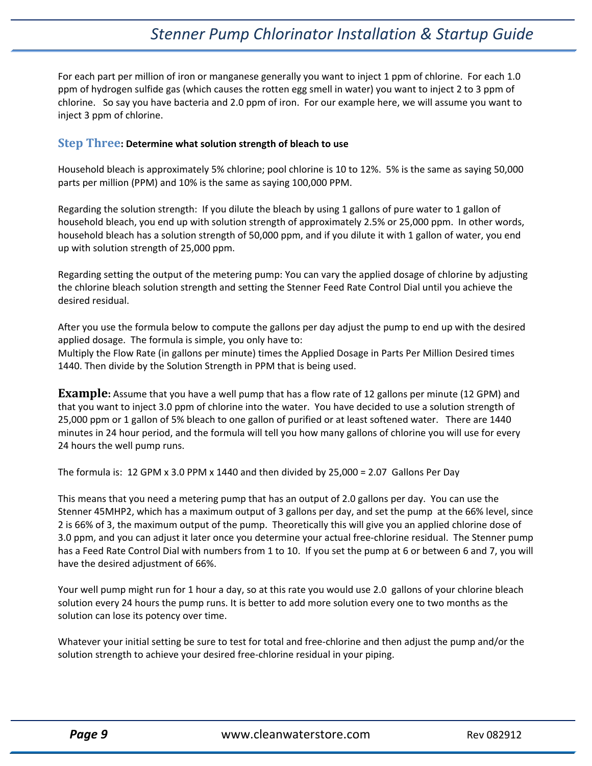## *Stenner Pump Chlorinator Installation & Startup Guide*

For each part per million of iron or manganese generally you want to inject 1 ppm of chlorine. For each 1.0 ppm of hydrogen sulfide gas (which causes the rotten egg smell in water) you want to inject 2 to 3 ppm of chlorine. So say you have bacteria and 2.0 ppm of iron. For our example here, we will assume you want to inject 3 ppm of chlorine.

#### **Step Three: Determine what solution strength of bleach to use**

Household bleach is approximately 5% chlorine; pool chlorine is 10 to 12%. 5% is the same as saying 50,000 parts per million (PPM) and 10% is the same as saying 100,000 PPM.

Regarding the solution strength: If you dilute the bleach by using 1 gallons of pure water to 1 gallon of household bleach, you end up with solution strength of approximately 2.5% or 25,000 ppm. In other words, household bleach has a solution strength of 50,000 ppm, and if you dilute it with 1 gallon of water, you end up with solution strength of 25,000 ppm.

Regarding setting the output of the metering pump: You can vary the applied dosage of chlorine by adjusting the chlorine bleach solution strength and setting the Stenner Feed Rate Control Dial until you achieve the desired residual.

After you use the formula below to compute the gallons per day adjust the pump to end up with the desired applied dosage. The formula is simple, you only have to:

Multiply the Flow Rate (in gallons per minute) times the Applied Dosage in Parts Per Million Desired times 1440. Then divide by the Solution Strength in PPM that is being used.

**Example:** Assume that you have a well pump that has a flow rate of 12 gallons per minute (12 GPM) and that you want to inject 3.0 ppm of chlorine into the water. You have decided to use a solution strength of 25,000 ppm or 1 gallon of 5% bleach to one gallon of purified or at least softened water. There are 1440 minutes in 24 hour period, and the formula will tell you how many gallons of chlorine you will use for every 24 hours the well pump runs.

The formula is: 12 GPM x 3.0 PPM x 1440 and then divided by  $25,000 = 2.07$  Gallons Per Day

This means that you need a metering pump that has an output of 2.0 gallons per day. You can use the Stenner 45MHP2, which has a maximum output of 3 gallons per day, and set the pump at the 66% level, since 2 is 66% of 3, the maximum output of the pump. Theoretically this will give you an applied chlorine dose of 3.0 ppm, and you can adjust it later once you determine your actual free‐chlorine residual. The Stenner pump has a Feed Rate Control Dial with numbers from 1 to 10. If you set the pump at 6 or between 6 and 7, you will have the desired adjustment of 66%.

Your well pump might run for 1 hour a day, so at this rate you would use 2.0 gallons of your chlorine bleach solution every 24 hours the pump runs. It is better to add more solution every one to two months as the solution can lose its potency over time.

Whatever your initial setting be sure to test for total and free‐chlorine and then adjust the pump and/or the solution strength to achieve your desired free‐chlorine residual in your piping.